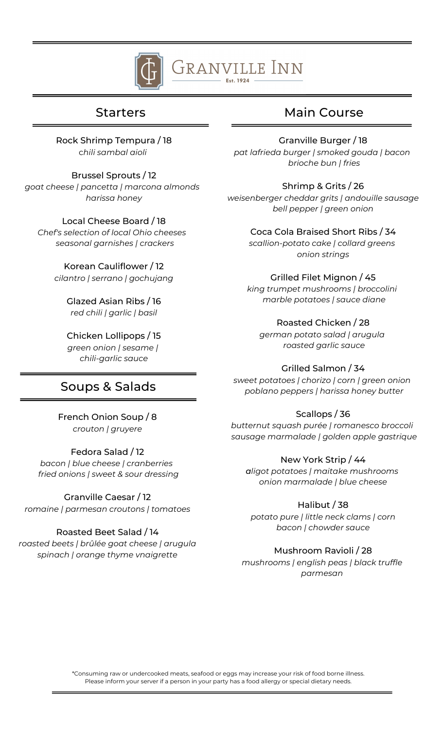

# Granville Inn

Rock Shrimp Tempura / 18 c*hili sambal aioli*

Brussel Sprouts / 12 *goat cheese | pancetta | marcona almonds harissa honey*

Local Cheese Board / 18 *Chef's selection of local Ohio cheeses seasonal garnishes | crackers*

> Korean Cauliflower / 12 *cilantro | serrano | gochujang*

> > Glazed Asian Ribs / 16 *red chili | garlic | basil*

Chicken Lollipops / 15 *green onion | sesame | chili-garlic sauce*

## Soups & Salads

French Onion Soup / 8 *crouton | gruyere*

Fedora Salad / 12 *bacon | blue cheese | cranberries fried onions | sweet & sour dressing*

Granville Caesar / 12 *romaine | parmesan croutons | tomatoes*

### Roasted Beet Salad / 14

*roasted beets | brûlée goat cheese | arugula spinach | orange thyme vnaigrette*

## Starters Main Course

Granville Burger / 18 *pat lafrieda burger | smoked gouda | bacon brioche bun | fries*

Shrimp & Grits / 26 *weisenberger cheddar grits | andouille sausage bell pepper | green onion*

Coca Cola Braised Short Ribs / 34 *scallion-potato cake | collard greens onion strings*

#### Grilled Filet Mignon / 45

*king trumpet mushrooms | broccolini marble potatoes | sauce diane*

#### Roasted Chicken / 28

*german potato salad | arugula roasted garlic sauce*

#### Grilled Salmon / 34

*sweet potatoes | chorizo | corn | green onion poblano peppers | harissa honey butter*

### Scallops / 36

*butternut squash purée | romanesco broccoli sausage marmalade | golden apple gastrique*

#### New York Strip / 44

*aligot potatoes | maitake mushrooms onion marmalade | blue cheese*

#### Halibut / 38

*potato pure | little neck clams | corn bacon | chowder sauce*

#### Mushroom Ravioli / 28

*mushrooms | english peas | black truffle parmesan*

\*Consuming raw or undercooked meats, seafood or eggs may increase your risk of food borne illness. Please inform your server if a person in your party has a food allergy or special dietary needs.